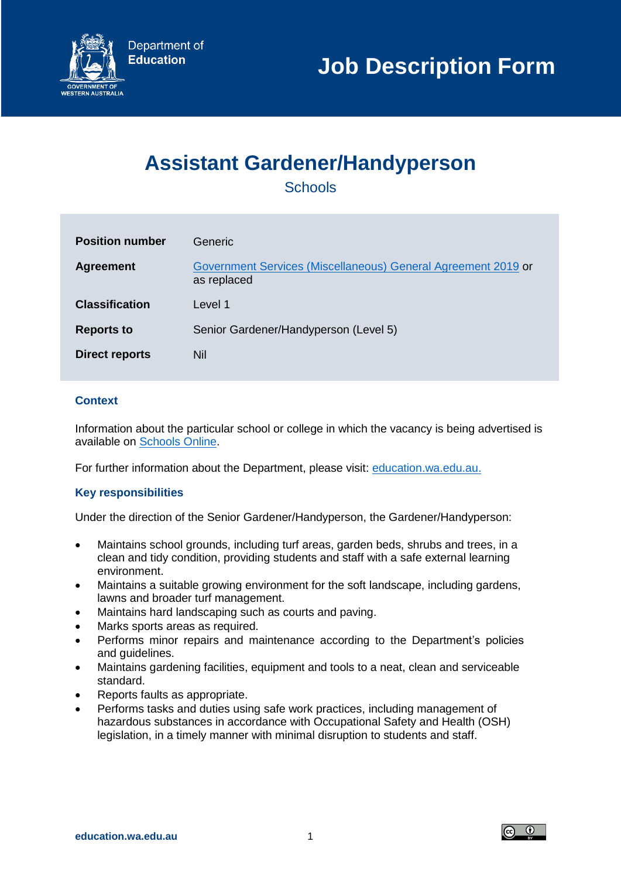# **Assistant Gardener/Handyperson**

**Schools** 

| <b>Position number</b> | Generic.                                                                     |
|------------------------|------------------------------------------------------------------------------|
| <b>Agreement</b>       | Government Services (Miscellaneous) General Agreement 2019 or<br>as replaced |
| <b>Classification</b>  | Level 1                                                                      |
| <b>Reports to</b>      | Senior Gardener/Handyperson (Level 5)                                        |
| <b>Direct reports</b>  | Nil                                                                          |

# **Context**

Information about the particular school or college in which the vacancy is being advertised is available on [Schools Online.](https://www.det.wa.edu.au/schoolsonline/home.do)

For further information about the Department, please visit: [education.wa.edu.au.](https://www.education.wa.edu.au/)

## **Key responsibilities**

Under the direction of the Senior Gardener/Handyperson, the Gardener/Handyperson:

- Maintains school grounds, including turf areas, garden beds, shrubs and trees, in a clean and tidy condition, providing students and staff with a safe external learning environment.
- Maintains a suitable growing environment for the soft landscape, including gardens, lawns and broader turf management.
- Maintains hard landscaping such as courts and paving.
- Marks sports areas as required.
- Performs minor repairs and maintenance according to the Department's policies and guidelines.
- Maintains gardening facilities, equipment and tools to a neat, clean and serviceable standard.
- Reports faults as appropriate.
- Performs tasks and duties using safe work practices, including management of hazardous substances in accordance with Occupational Safety and Health (OSH) legislation, in a timely manner with minimal disruption to students and staff.